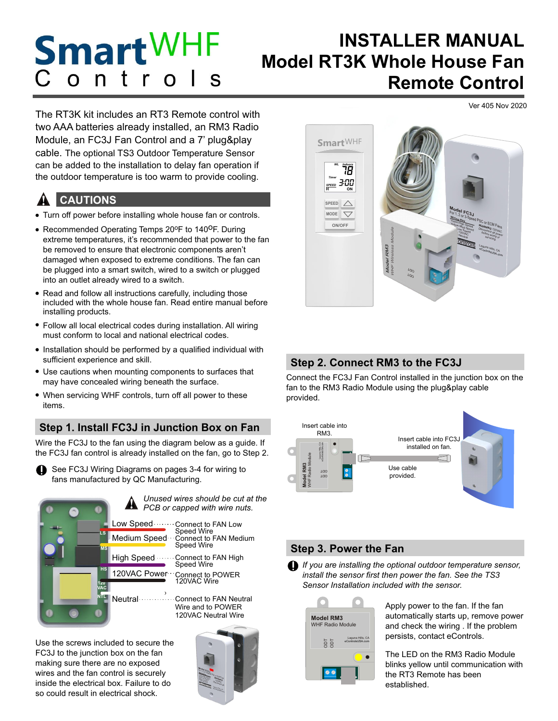## **Smart**WHF **INSTALLER MANUAL Model RT3K Whole House Fan**   $n$  $\overline{O}$ **Remote Control**

Ver 405 Nov 2020

The RT3K kit includes an RT3 Remote control with two AAA batteries already installed, an RM3 Radio Module, an FC3J Fan Control and a 7' plug&play cable. The optional TS3 Outdoor Temperature Sensor can be added to the installation to delay fan operation if the outdoor temperature is too warm to provide cooling.

#### **CAUTIONS** <u>p</u>

- Turn off power before installing whole house fan or controls.
- Recommended Operating Temps 20°F to 140°F. During extreme temperatures, it's recommended that power to the fan be removed to ensure that electronic components aren't damaged when exposed to extreme conditions. The fan can be plugged into a smart switch, wired to a switch or plugged into an outlet already wired to a switch.
- Read and follow all instructions carefully, including those included with the whole house fan. Read entire manual before installing products.
- Follow all local electrical codes during installation. All wiring must conform to local and national electrical codes.
- Installation should be performed by a qualified individual with sufficient experience and skill.
- Use cautions when mounting components to surfaces that may have concealed wiring beneath the surface.
- When servicing WHF controls, turn off all power to these items.

# **Step 1. Install FC3J in Junction Box on Fan**

Wire the FC3J to the fan using the diagram below as a guide. If the FC3J fan control is already installed on the fan, go to Step 2.

See FC3J Wiring Diagrams on pages 3-4 for wiring to fans manufactured by QC Manufacturing. **i**



*Unused wires should be cut at the PCB or capped with wire nuts.* !

> Connect to FAN Low Speed Wire Connect to FAN Medium Speed Wire

Connect to FAN High Speed Wire

Connect to POWER 120VAC Wire

Connect to FAN Neutral Wire and to POWER 120VAC Neutral Wire

Use the screws included to secure the FC3J to the junction box on the fan making sure there are no exposed wires and the fan control is securely inside the electrical box. Failure to do so could result in electrical shock.





# **Step 2. Connect RM3 to the FC3J**

Connect the FC3J Fan Control installed in the junction box on the fan to the RM3 Radio Module using the plug&play cable provided.



# **Step 3. Power the Fan**

*If you are installing the optional outdoor temperature sensor,*  **i** *install the sensor first then power the fan. See the TS3 Sensor Installation included with the sensor.*



Apply power to the fan. If the fan automatically starts up, remove power and check the wiring . If the problem persists, contact eControls.

The LED on the RM3 Radio Module blinks yellow until communication with the RT3 Remote has been established.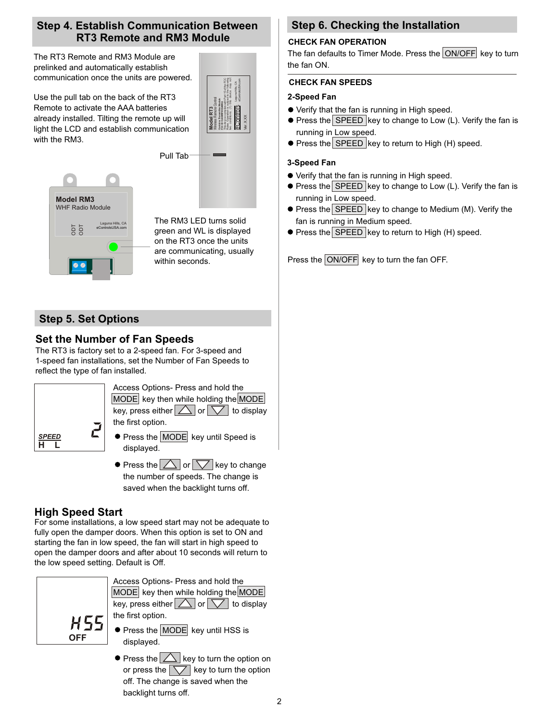## **Step 4. Establish Communication Between RT3 Remote and RM3 Module**

The RT3 Remote and RM3 Module are prelinked and automatically establish communication once the units are powered.

Use the pull tab on the back of the RT3 Remote to activate the AAA batteries already installed. Tilting the remote up will light the LCD and establish communication with the RM3.



**Model RM3** WHF Radio Module ODT ODT Laguna Hills, CA eControlsUSA.com

The RM3 LED turns solid green and WL is displayed on the RT3 once the units are communicating, usually within seconds.

Pull Tab

# **Step 5. Set Options**

# **Set the Number of Fan Speeds**

The RT3 is factory set to a 2-speed fan. For 3-speed and 1-speed fan installations, set the Number of Fan Speeds to reflect the type of fan installed.



Access Options- Press and hold the  $MODE$  key then while holding the MODE key, press either  $\triangle$  or  $\nabla$  to display the first option.

- **•** Press the MODE key until Speed is displayed.
- $\bullet$  Press the  $\triangle$  or  $\triangledown$  key to change the number of speeds. The change is saved when the backlight turns off.

## **High Speed Start**

For some installations, a low speed start may not be adequate to fully open the damper doors. When this option is set to ON and starting the fan in low speed, the fan will start in high speed to open the damper doors and after about 10 seconds will return to the low speed setting. Default is Off.



Access Options- Press and hold the  $MODE$  key then while holding the  $MODE$ key, press either  $\Delta$  or  $\nabla$  to display the first option.

- **•** Press the MODE key until HSS is displayed.
- $\bullet$  Press the  $\triangle$  key to turn the option on or press the  $\sqrt{\sqrt{ }}$  key to turn the option off. The change is saved when the backlight turns off.

# **Step 6. Checking the Installation**

## **CHECK FAN OPERATION**

The fan defaults to Timer Mode. Press the  $|ON/OFF|$  key to turn the fan ON.

## **CHECK FAN SPEEDS**

## **2-Speed Fan**

- Verify that the fan is running in High speed.
- $\bullet$  Press the SPEED key to change to Low (L). Verify the fan is running in Low speed.
- $\bullet$  Press the SPEED key to return to High (H) speed.

## **3-Speed Fan**

- Verify that the fan is running in High speed.
- $\bullet$  Press the SPEED key to change to Low (L). Verify the fan is running in Low speed.
- $\bullet$  Press the SPEED key to change to Medium (M). Verify the fan is running in Medium speed.
- **Press the SPEED key to return to High (H) speed.**

Press the ON/OFF key to turn the fan OFF.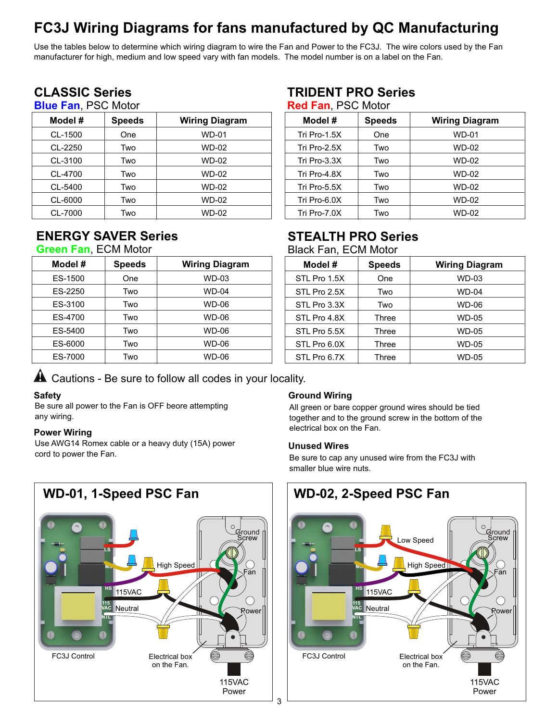# **FC3J Wiring Diagrams for fans manufactured by QC Manufacturing**

Use the tables below to determine which wiring diagram to wire the Fan and Power to the FC3J. The wire colors used by the Fan manufacturer for high, medium and low speed vary with fan models. The model number is on a label on the Fan.

# **CLASSIC Series**

# **Blue Fan**, PSC Motor

| Model # | <b>Speeds</b> | <b>Wiring Diagram</b> |
|---------|---------------|-----------------------|
| CL-1500 | One           | <b>WD-01</b>          |
| CL-2250 | Two           | WD-02                 |
| CL-3100 | Two           | WD-02                 |
| CL-4700 | Two           | WD-02                 |
| CL-5400 | Two           | WD-02                 |
| CL-6000 | Two           | WD-02                 |
| CL-7000 | Two           | <b>WD-02</b>          |

# **ENERGY SAVER Series**

## **Green Fan**, ECM Motor

| Model # | <b>Speeds</b> | <b>Wiring Diagram</b> |
|---------|---------------|-----------------------|
| ES-1500 | One           | WD-03                 |
| ES-2250 | Two           | WD-04                 |
| ES-3100 | Two           | WD-06                 |
| ES-4700 | Two           | WD-06                 |
| ES-5400 | Two           | WD-06                 |
| ES-6000 | Two           | WD-06                 |
| ES-7000 | Two           | WD-06                 |

# **TRIDENT PRO Series**

|  | <b>Red Fan, PSC Motor</b> |
|--|---------------------------|
|--|---------------------------|

| Model #         | <b>Speeds</b> | <b>Wiring Diagram</b> |
|-----------------|---------------|-----------------------|
| Tri Pro-1.5X    | One           | WD-01                 |
| Tri Pro- $2.5X$ | Two           | WD-02                 |
| Tri Pro-3.3X    | Two           | WD-02                 |
| Tri Pro-4.8X    | Two           | WD-02                 |
| Tri Pro-5.5X    | Two           | WD-02                 |
| Tri Pro-6.0X    | Two           | WD-02                 |
| Tri Pro-7.0X    | Two           | WD-02                 |

# **STEALTH PRO Series**

Black Fan, ECM Motor

| Model #      | <b>Speeds</b> | <b>Wiring Diagram</b> |
|--------------|---------------|-----------------------|
| STL Pro 1.5X | One           | WD-03                 |
| STL Pro 2.5X | Two           | WD-04                 |
| STL Pro 3.3X | Two           | WD-06                 |
| STL Pro 4.8X | Three         | WD-05                 |
| STL Pro 5.5X | Three         | WD-05                 |
| STL Pro 6.0X | Three         | WD-05                 |
| STL Pro 6.7X | Three         | WD-05                 |

# $\blacktriangle$  Cautions - Be sure to follow all codes in your locality.

## **Safety**

Be sure all power to the Fan is OFF beore attempting any wiring.

#### **Power Wiring**

Use AWG14 Romex cable or a heavy duty (15A) power cord to power the Fan.

## **Ground Wiring**

All green or bare copper ground wires should be tied together and to the ground screw in the bottom of the electrical box on the Fan.

#### **Unused Wires**

Be sure to cap any unused wire from the FC3J with smaller blue wire nuts.